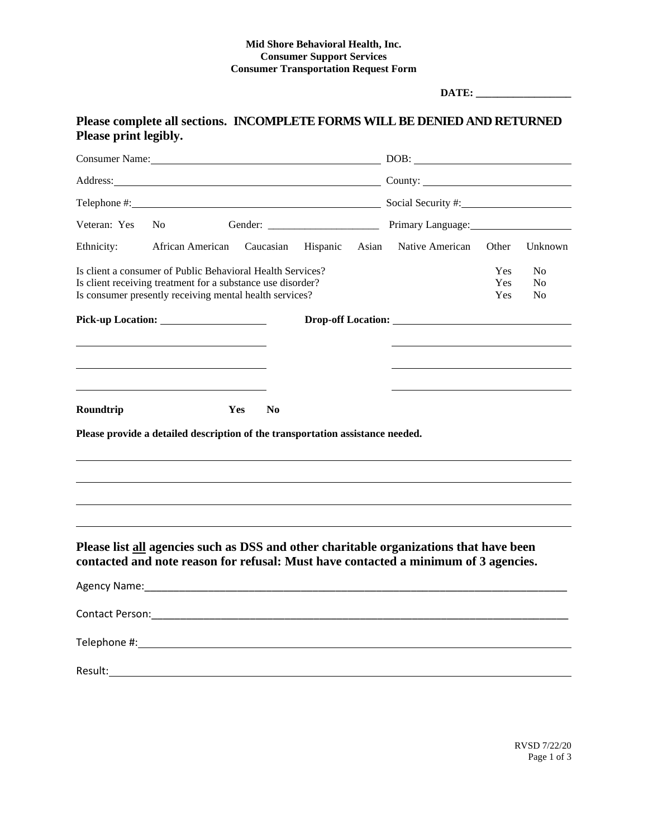## **Mid Shore Behavioral Health, Inc. Consumer Support Services Consumer Transportation Request Form**

**DATE: \_\_\_\_\_\_\_\_\_\_\_\_\_\_\_\_\_\_**

## **Please complete all sections. INCOMPLETE FORMS WILL BE DENIED AND RETURNED Please print legibly.**

| Consumer Name: 1000 million and the Consumer Name: |                                                                                                                                                                                                                                     |                              |  |  | $\boxed{\text{DOB:}\qquad \qquad \qquad }$                                                                                                                                    |                                        |                                        |
|----------------------------------------------------|-------------------------------------------------------------------------------------------------------------------------------------------------------------------------------------------------------------------------------------|------------------------------|--|--|-------------------------------------------------------------------------------------------------------------------------------------------------------------------------------|----------------------------------------|----------------------------------------|
|                                                    | Address: <u>Note</u> 2008 and 2008 and 2008 and 2008 and 2008 and 2008 and 2008 and 2008 and 2008 and 2008 and 2008 and 2008 and 2008 and 2008 and 2008 and 2008 and 2008 and 2008 and 2008 and 2008 and 2008 and 2008 and 2008 and |                              |  |  |                                                                                                                                                                               |                                        |                                        |
|                                                    |                                                                                                                                                                                                                                     |                              |  |  |                                                                                                                                                                               |                                        |                                        |
| Veteran: Yes                                       | N <sub>o</sub>                                                                                                                                                                                                                      |                              |  |  |                                                                                                                                                                               |                                        |                                        |
| Ethnicity:                                         | African American Caucasian Hispanic                                                                                                                                                                                                 |                              |  |  | Asian Native American                                                                                                                                                         | Other                                  | Unknown                                |
|                                                    | Is client a consumer of Public Behavioral Health Services?<br>Is client receiving treatment for a substance use disorder?<br>Is consumer presently receiving mental health services?                                                |                              |  |  |                                                                                                                                                                               | <b>Yes</b><br><b>Yes</b><br><b>Yes</b> | N <sub>0</sub><br>N <sub>0</sub><br>No |
|                                                    |                                                                                                                                                                                                                                     |                              |  |  | Drop-off Location:                                                                                                                                                            |                                        |                                        |
|                                                    |                                                                                                                                                                                                                                     |                              |  |  |                                                                                                                                                                               |                                        |                                        |
|                                                    |                                                                                                                                                                                                                                     |                              |  |  |                                                                                                                                                                               |                                        |                                        |
|                                                    |                                                                                                                                                                                                                                     |                              |  |  |                                                                                                                                                                               |                                        |                                        |
| Roundtrip                                          |                                                                                                                                                                                                                                     | <b>Yes</b><br>N <sub>0</sub> |  |  |                                                                                                                                                                               |                                        |                                        |
|                                                    | Please provide a detailed description of the transportation assistance needed.                                                                                                                                                      |                              |  |  |                                                                                                                                                                               |                                        |                                        |
|                                                    |                                                                                                                                                                                                                                     |                              |  |  | Please list all agencies such as DSS and other charitable organizations that have been<br>contacted and note reason for refusal: Must have contacted a minimum of 3 agencies. |                                        |                                        |
|                                                    |                                                                                                                                                                                                                                     |                              |  |  |                                                                                                                                                                               |                                        |                                        |
|                                                    |                                                                                                                                                                                                                                     |                              |  |  |                                                                                                                                                                               |                                        |                                        |
|                                                    |                                                                                                                                                                                                                                     |                              |  |  |                                                                                                                                                                               |                                        |                                        |
|                                                    |                                                                                                                                                                                                                                     |                              |  |  |                                                                                                                                                                               |                                        |                                        |
| Result:                                            |                                                                                                                                                                                                                                     |                              |  |  |                                                                                                                                                                               |                                        |                                        |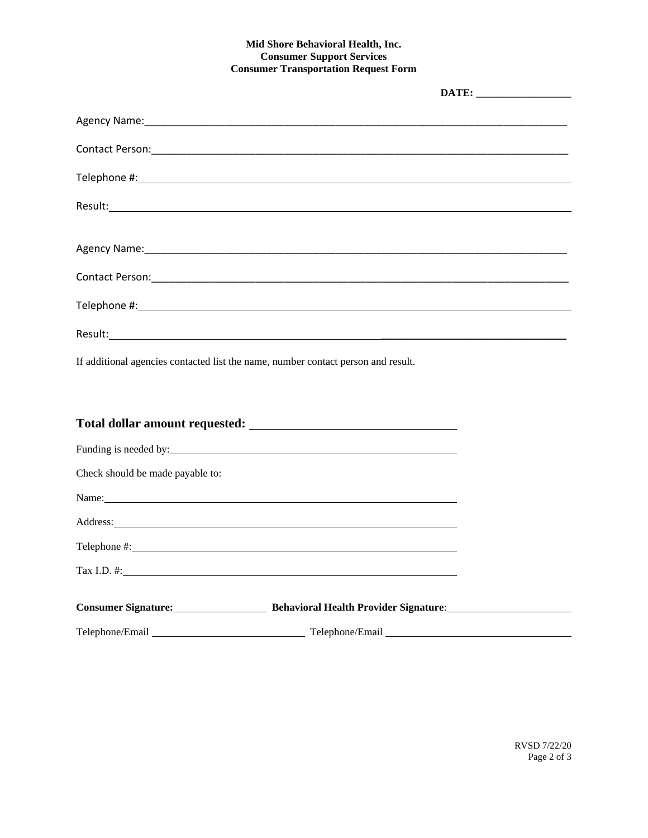## **Mid Shore Behavioral Health, Inc. Consumer Support Services Consumer Transportation Request Form**

| Agency Name: 1980 Manual Manual Manual Manual Manual Manual Manual Manual Manual Manual Manual Manual Manual M |  |
|----------------------------------------------------------------------------------------------------------------|--|
|                                                                                                                |  |
|                                                                                                                |  |
|                                                                                                                |  |
| If additional agencies contacted list the name, number contact person and result.                              |  |

| Check should be made payable to: |                                                                                                                                                                                                                               |  |
|----------------------------------|-------------------------------------------------------------------------------------------------------------------------------------------------------------------------------------------------------------------------------|--|
|                                  | Name: Name and the second contract of the second contract of the second contract of the second contract of the second contract of the second contract of the second contract of the second contract of the second contract of |  |
|                                  |                                                                                                                                                                                                                               |  |
|                                  |                                                                                                                                                                                                                               |  |
|                                  |                                                                                                                                                                                                                               |  |
|                                  | <b>Consumer Signature: Example 2018 Behavioral Health Provider Signature: EXAMPLE 2018 DENSITY BEHAVIOR BEHAVIOR BEHAVIOR BEHAVIOR BEHAVIOR BEHAVIOR BEHAVIOR BEHAVIOR BEHAVIOR BEHAVIOR BEHAVIOR</b>                         |  |
|                                  |                                                                                                                                                                                                                               |  |